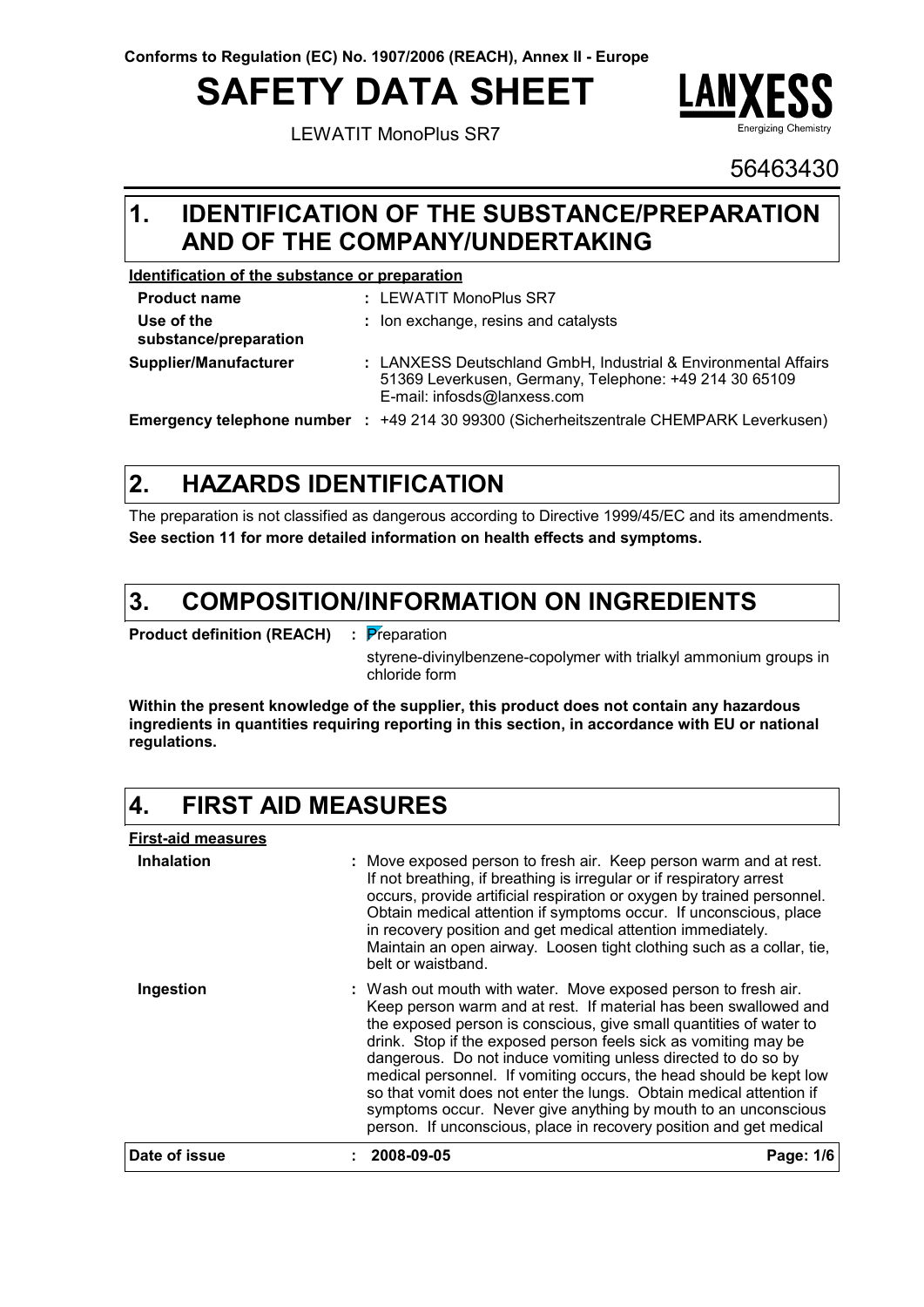# **SAFETY DATA SHEET**

LEWATIT MonoPlus SR7



56463430

### **IDENTIFICATION OF THE SUBSTANCE/PREPARATION 1. AND OF THE COMPANY/UNDERTAKING**

#### **Identification of the substance or preparation**

| <b>Product name</b>                 | : LEWATIT MonoPlus SR7                                                                                                                                  |
|-------------------------------------|---------------------------------------------------------------------------------------------------------------------------------------------------------|
| Use of the<br>substance/preparation | : Ion exchange, resins and catalysts                                                                                                                    |
| Supplier/Manufacturer               | : LANXESS Deutschland GmbH, Industrial & Environmental Affairs<br>51369 Leverkusen, Germany, Telephone: +49 214 30 65109<br>E-mail: infosds@lanxess.com |
| Emergency telephone number :        | +49 214 30 99300 (Sicherheitszentrale CHEMPARK Leverkusen)                                                                                              |

**HAZARDS IDENTIFICATION 2.**

The preparation is not classified as dangerous according to Directive 1999/45/EC and its amendments. **See section 11 for more detailed information on health effects and symptoms.**

#### **COMPOSITION/INFORMATION ON INGREDIENTS 3.**

**Product definition (REACH) :** Preparation

styrene-divinylbenzene-copolymer with trialkyl ammonium groups in chloride form

**Within the present knowledge of the supplier, this product does not contain any hazardous ingredients in quantities requiring reporting in this section, in accordance with EU or national regulations.**

#### **4. FIRST AID MEASURES**

**First-aid measures Ingestion Inhalation : :** Wash out mouth with water. Move exposed person to fresh air. Move exposed person to fresh air. Keep person warm and at rest. If not breathing, if breathing is irregular or if respiratory arrest occurs, provide artificial respiration or oxygen by trained personnel. Obtain medical attention if symptoms occur. If unconscious, place in recovery position and get medical attention immediately. Maintain an open airway. Loosen tight clothing such as a collar, tie, belt or waistband. Keep person warm and at rest. If material has been swallowed and the exposed person is conscious, give small quantities of water to drink. Stop if the exposed person feels sick as vomiting may be dangerous. Do not induce vomiting unless directed to do so by medical personnel. If vomiting occurs, the head should be kept low so that vomit does not enter the lungs. Obtain medical attention if symptoms occur. Never give anything by mouth to an unconscious person. If unconscious, place in recovery position and get medical **Date of issue : 2008-09-05 Page: 1/6**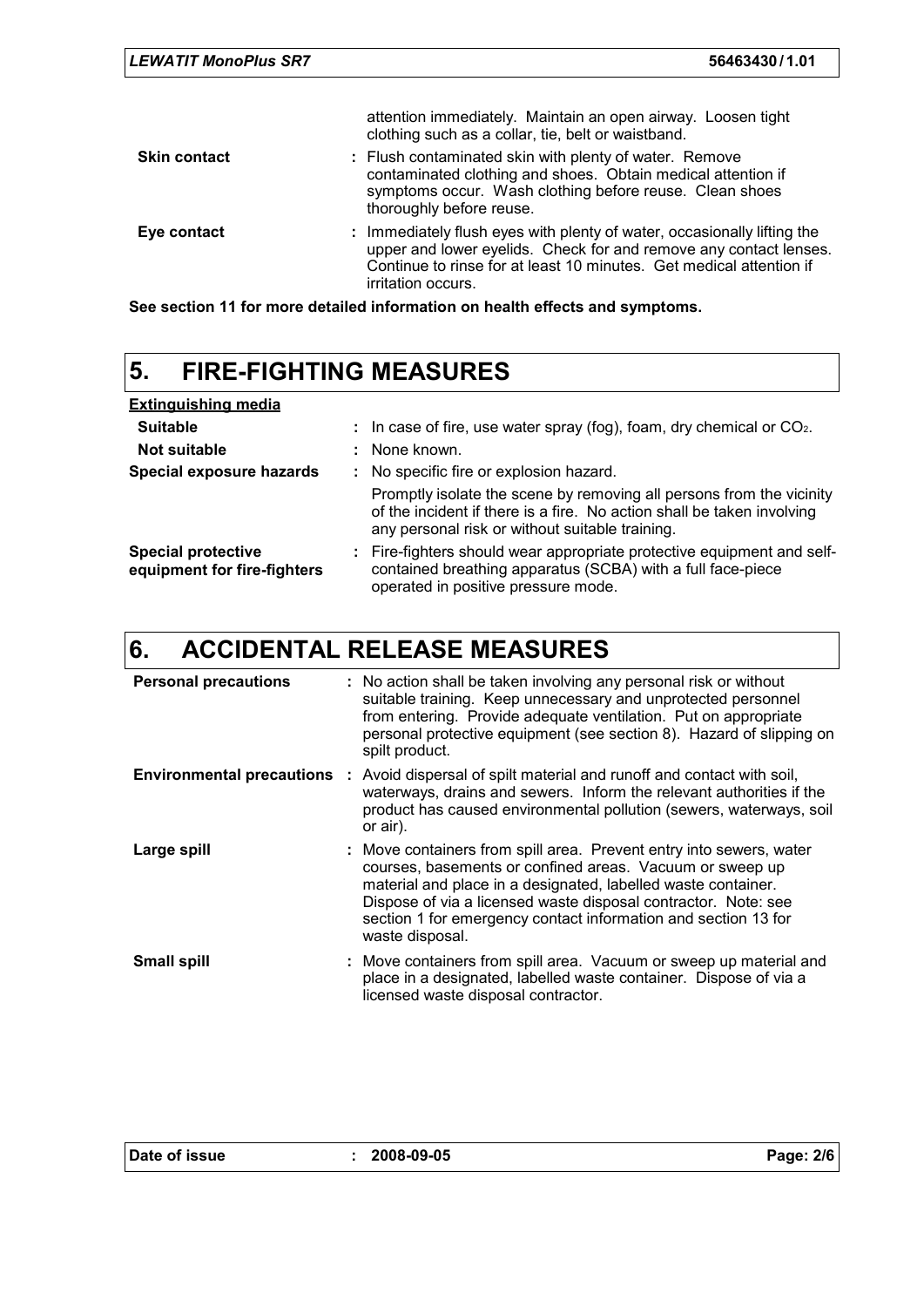|                     | attention immediately. Maintain an open airway. Loosen tight<br>clothing such as a collar, tie, belt or waistband.                                                                                                                        |
|---------------------|-------------------------------------------------------------------------------------------------------------------------------------------------------------------------------------------------------------------------------------------|
| <b>Skin contact</b> | : Flush contaminated skin with plenty of water. Remove<br>contaminated clothing and shoes. Obtain medical attention if<br>symptoms occur. Wash clothing before reuse. Clean shoes<br>thoroughly before reuse.                             |
| Eye contact         | : Immediately flush eyes with plenty of water, occasionally lifting the<br>upper and lower eyelids. Check for and remove any contact lenses.<br>Continue to rinse for at least 10 minutes. Get medical attention if<br>irritation occurs. |

**See section 11 for more detailed information on health effects and symptoms.**

# **5. FIRE-FIGHTING MEASURES**

| <b>Extinguishing media</b>                               |    |                                                                                                                                                                                                   |
|----------------------------------------------------------|----|---------------------------------------------------------------------------------------------------------------------------------------------------------------------------------------------------|
| <b>Suitable</b>                                          | ÷. | In case of fire, use water spray (fog), foam, dry chemical or $CO2$ .                                                                                                                             |
| Not suitable                                             |    | : None known.                                                                                                                                                                                     |
| Special exposure hazards                                 |    | : No specific fire or explosion hazard.                                                                                                                                                           |
|                                                          |    | Promptly isolate the scene by removing all persons from the vicinity<br>of the incident if there is a fire. No action shall be taken involving<br>any personal risk or without suitable training. |
| <b>Special protective</b><br>equipment for fire-fighters |    | : Fire-fighters should wear appropriate protective equipment and self-<br>contained breathing apparatus (SCBA) with a full face-piece<br>operated in positive pressure mode.                      |

### **6. ACCIDENTAL RELEASE MEASURES**

| <b>Personal precautions</b> | : No action shall be taken involving any personal risk or without<br>suitable training. Keep unnecessary and unprotected personnel<br>from entering. Provide adequate ventilation. Put on appropriate<br>personal protective equipment (see section 8). Hazard of slipping on<br>spilt product.                                                         |
|-----------------------------|---------------------------------------------------------------------------------------------------------------------------------------------------------------------------------------------------------------------------------------------------------------------------------------------------------------------------------------------------------|
|                             | <b>Environmental precautions</b> : Avoid dispersal of spilt material and runoff and contact with soil,<br>waterways, drains and sewers. Inform the relevant authorities if the<br>product has caused environmental pollution (sewers, waterways, soil<br>or air).                                                                                       |
| Large spill                 | : Move containers from spill area. Prevent entry into sewers, water<br>courses, basements or confined areas. Vacuum or sweep up<br>material and place in a designated, labelled waste container.<br>Dispose of via a licensed waste disposal contractor. Note: see<br>section 1 for emergency contact information and section 13 for<br>waste disposal. |
| <b>Small spill</b>          | : Move containers from spill area. Vacuum or sweep up material and<br>place in a designated, labelled waste container. Dispose of via a<br>licensed waste disposal contractor.                                                                                                                                                                          |

|  | Date of issue |
|--|---------------|
|--|---------------|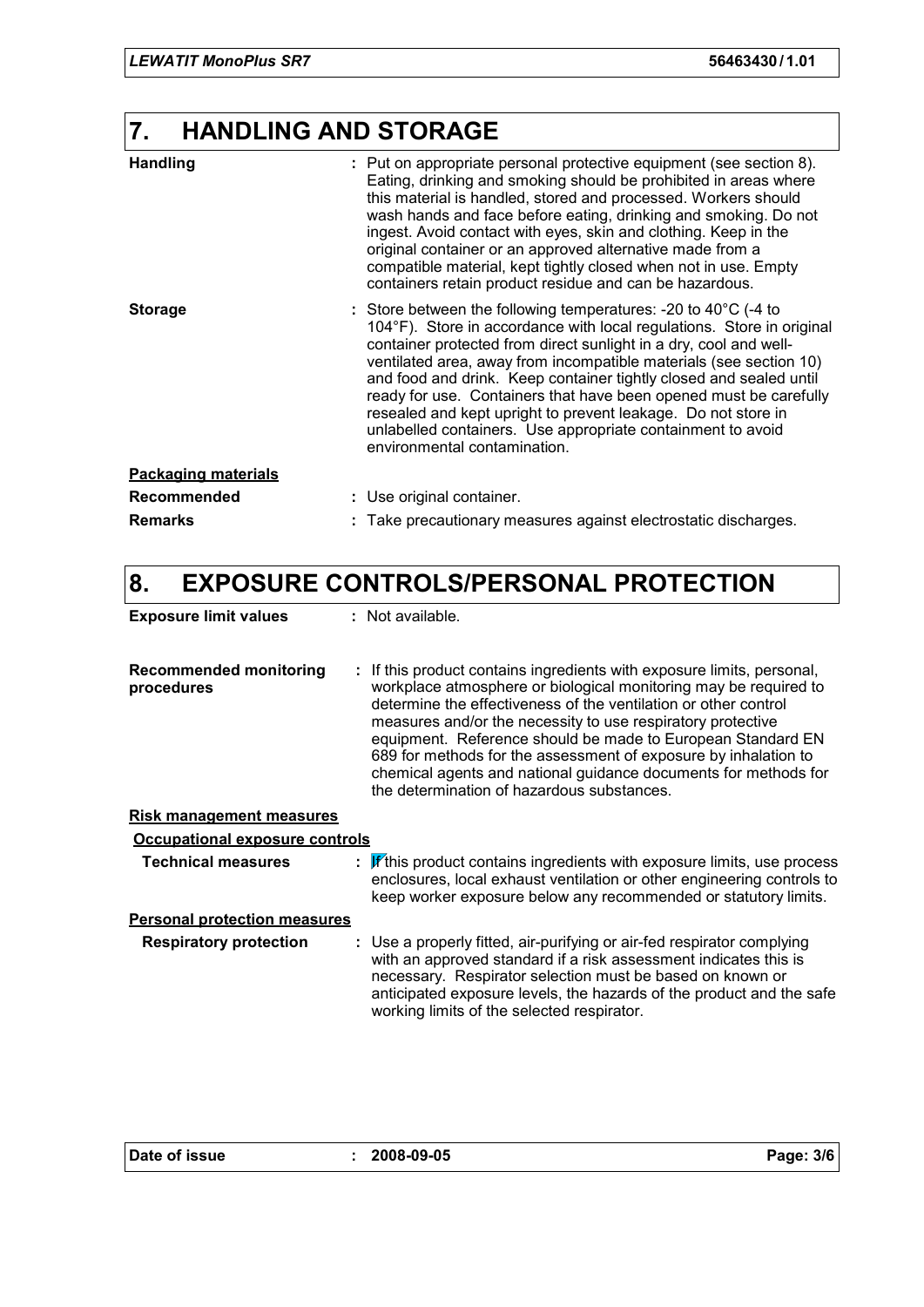### **7. HANDLING AND STORAGE**

| <b>Handling</b>            | : Put on appropriate personal protective equipment (see section 8).<br>Eating, drinking and smoking should be prohibited in areas where<br>this material is handled, stored and processed. Workers should<br>wash hands and face before eating, drinking and smoking. Do not<br>ingest. Avoid contact with eyes, skin and clothing. Keep in the<br>original container or an approved alternative made from a<br>compatible material, kept tightly closed when not in use. Empty<br>containers retain product residue and can be hazardous.                                                              |
|----------------------------|---------------------------------------------------------------------------------------------------------------------------------------------------------------------------------------------------------------------------------------------------------------------------------------------------------------------------------------------------------------------------------------------------------------------------------------------------------------------------------------------------------------------------------------------------------------------------------------------------------|
| <b>Storage</b>             | : Store between the following temperatures: -20 to $40^{\circ}$ C (-4 to<br>104°F). Store in accordance with local regulations. Store in original<br>container protected from direct sunlight in a dry, cool and well-<br>ventilated area, away from incompatible materials (see section 10)<br>and food and drink. Keep container tightly closed and sealed until<br>ready for use. Containers that have been opened must be carefully<br>resealed and kept upright to prevent leakage. Do not store in<br>unlabelled containers. Use appropriate containment to avoid<br>environmental contamination. |
| <b>Packaging materials</b> |                                                                                                                                                                                                                                                                                                                                                                                                                                                                                                                                                                                                         |
| <b>Recommended</b>         | : Use original container.                                                                                                                                                                                                                                                                                                                                                                                                                                                                                                                                                                               |
| <b>Remarks</b>             | Take precautionary measures against electrostatic discharges.                                                                                                                                                                                                                                                                                                                                                                                                                                                                                                                                           |

### **8. EXPOSURE CONTROLS/PERSONAL PROTECTION**

| <b>Exposure limit values</b> | : Not available. |
|------------------------------|------------------|
|                              |                  |

**Recommended monitoring procedures :** If this product contains ingredients with exposure limits, personal, workplace atmosphere or biological monitoring may be required to determine the effectiveness of the ventilation or other control measures and/or the necessity to use respiratory protective equipment. Reference should be made to European Standard EN 689 for methods for the assessment of exposure by inhalation to chemical agents and national guidance documents for methods for the determination of hazardous substances.

### **Risk management measures**

| <b>Occupational exposure controls</b> |                                                                                                                                                                                                                                                                                                                               |  |
|---------------------------------------|-------------------------------------------------------------------------------------------------------------------------------------------------------------------------------------------------------------------------------------------------------------------------------------------------------------------------------|--|
| <b>Technical measures</b>             | : If this product contains ingredients with exposure limits, use process<br>enclosures, local exhaust ventilation or other engineering controls to<br>keep worker exposure below any recommended or statutory limits.                                                                                                         |  |
| <b>Personal protection measures</b>   |                                                                                                                                                                                                                                                                                                                               |  |
| <b>Respiratory protection</b>         | : Use a properly fitted, air-purifying or air-fed respirator complying<br>with an approved standard if a risk assessment indicates this is<br>necessary. Respirator selection must be based on known or<br>anticipated exposure levels, the hazards of the product and the safe<br>working limits of the selected respirator. |  |

| Date of issue |  |
|---------------|--|
|---------------|--|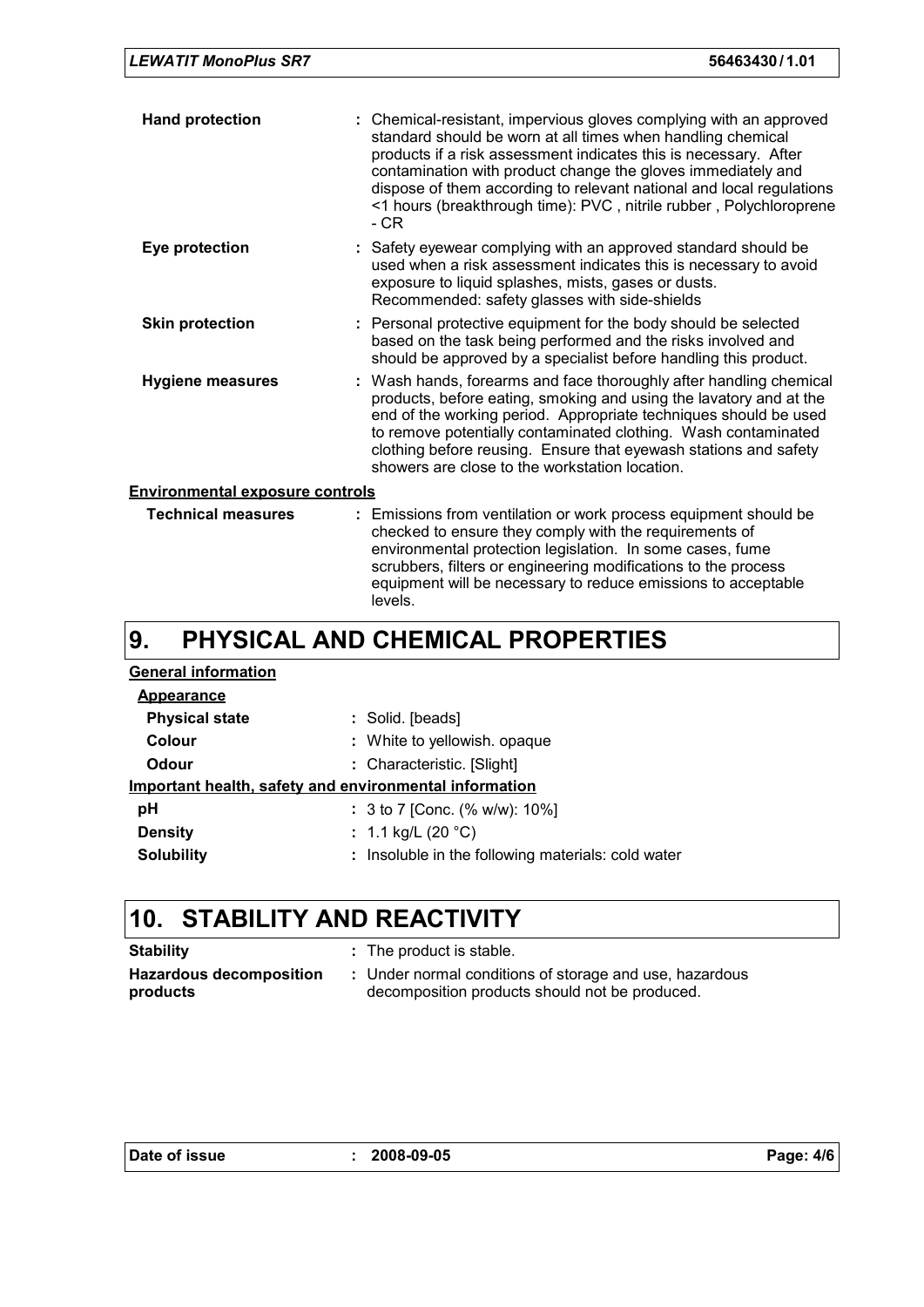|  | <b>LEWATIT MonoPlus SR7</b> | 56463430/1.01 |
|--|-----------------------------|---------------|
|--|-----------------------------|---------------|

| <b>Hand protection</b>                 | : Chemical-resistant, impervious gloves complying with an approved<br>standard should be worn at all times when handling chemical<br>products if a risk assessment indicates this is necessary. After<br>contamination with product change the gloves immediately and<br>dispose of them according to relevant national and local regulations<br><1 hours (breakthrough time): PVC, nitrile rubber, Polychloroprene<br>- CR |
|----------------------------------------|-----------------------------------------------------------------------------------------------------------------------------------------------------------------------------------------------------------------------------------------------------------------------------------------------------------------------------------------------------------------------------------------------------------------------------|
| Eye protection                         | : Safety eyewear complying with an approved standard should be<br>used when a risk assessment indicates this is necessary to avoid<br>exposure to liquid splashes, mists, gases or dusts.<br>Recommended: safety glasses with side-shields                                                                                                                                                                                  |
| <b>Skin protection</b>                 | : Personal protective equipment for the body should be selected<br>based on the task being performed and the risks involved and<br>should be approved by a specialist before handling this product.                                                                                                                                                                                                                         |
| <b>Hygiene measures</b>                | : Wash hands, forearms and face thoroughly after handling chemical<br>products, before eating, smoking and using the lavatory and at the<br>end of the working period. Appropriate techniques should be used<br>to remove potentially contaminated clothing. Wash contaminated<br>clothing before reusing. Ensure that eyewash stations and safety<br>showers are close to the workstation location.                        |
| <b>Environmental exposure controls</b> |                                                                                                                                                                                                                                                                                                                                                                                                                             |
| <b>Technical measures</b>              | : Emissions from ventilation or work process equipment should be                                                                                                                                                                                                                                                                                                                                                            |

| Technical measures | : Emissions from ventilation or work process equipment should be<br>checked to ensure they comply with the requirements of<br>environmental protection legislation. In some cases, fume<br>scrubbers, filters or engineering modifications to the process<br>equipment will be necessary to reduce emissions to acceptable<br>levels. |  |
|--------------------|---------------------------------------------------------------------------------------------------------------------------------------------------------------------------------------------------------------------------------------------------------------------------------------------------------------------------------------|--|
|                    |                                                                                                                                                                                                                                                                                                                                       |  |

#### **PHYSICAL AND CHEMICAL PROPERTIES 9.**

### **Physical state**  $\qquad \qquad$ : Solid. [beads] **Odour** : Characteristic. [Slight] **pH Colour Colour :** White to yellowish. opaque **Colour** 3 to 7 [Conc. (% w/w): 10%] **: General information Appearance Important health, safety and environmental information Solubility :** Insoluble in the following materials: cold water **Density :** 1.1 kg/L (20 °C)

## **10. STABILITY AND REACTIVITY**

| <b>Stability</b>        | : The product is stable.                                |
|-------------------------|---------------------------------------------------------|
| Hazardous decomposition | : Under normal conditions of storage and use, hazardous |
| products                | decomposition products should not be produced.          |

| Date of issue |  |
|---------------|--|
|---------------|--|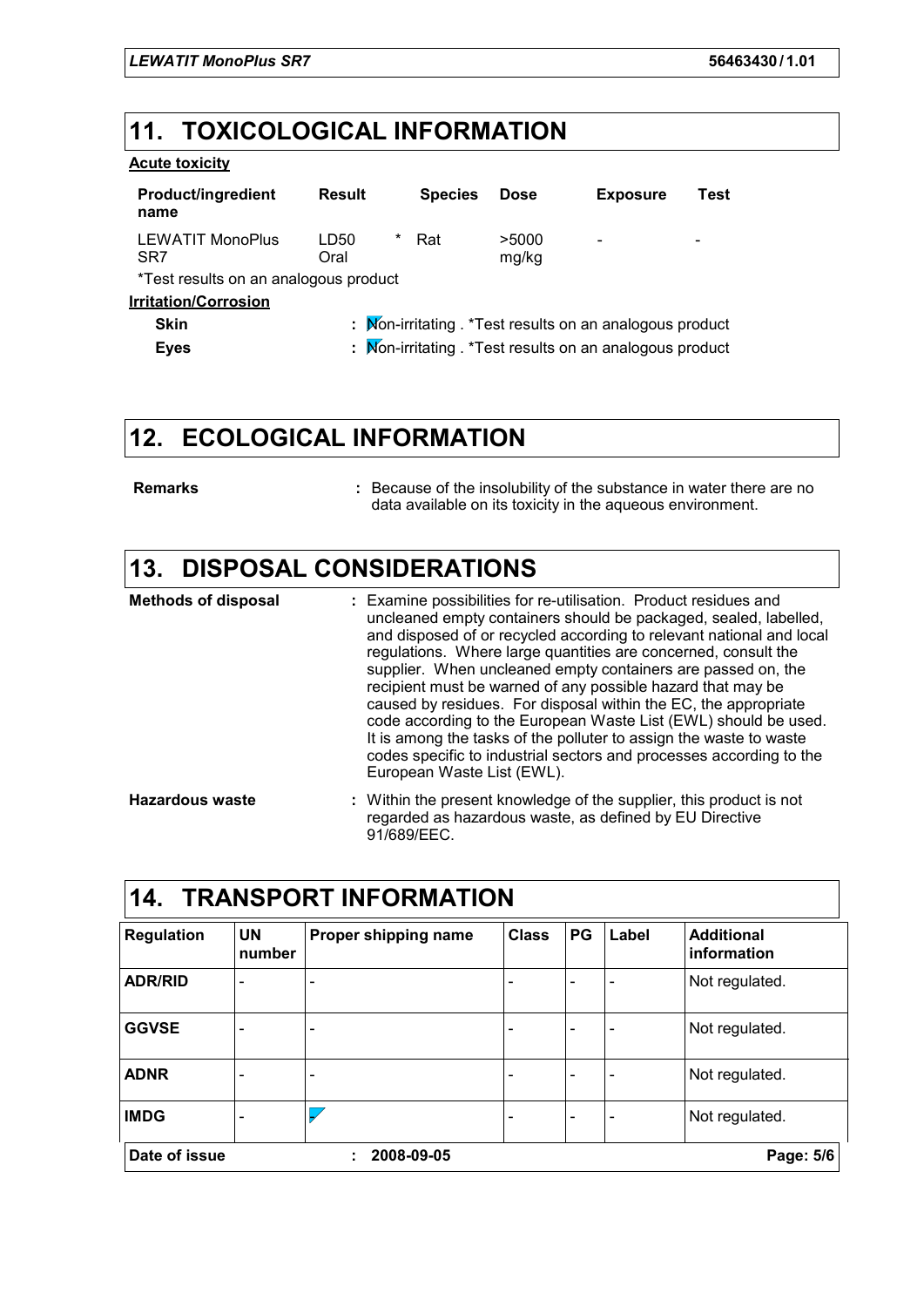### **11. TOXICOLOGICAL INFORMATION**

### **Acute toxicity**

| <b>Product/ingredient</b><br>name          | <b>Result</b>     | <b>Species</b> | <b>Dose</b>    | <b>Exposure</b>                                           | Test |  |  |
|--------------------------------------------|-------------------|----------------|----------------|-----------------------------------------------------------|------|--|--|
| <b>LEWATIT MonoPlus</b><br>SR <sub>7</sub> | *<br>LD50<br>Oral | Rat            | >5000<br>mg/kg | $\qquad \qquad \blacksquare$                              |      |  |  |
| *Test results on an analogous product      |                   |                |                |                                                           |      |  |  |
| <u><b>Irritation/Corrosion</b></u>         |                   |                |                |                                                           |      |  |  |
| <b>Skin</b>                                |                   |                |                | : Mon-irritating . * Test results on an analogous product |      |  |  |
| <b>Eyes</b>                                |                   |                |                | : Mon-irritating . * Test results on an analogous product |      |  |  |

# **12. ECOLOGICAL INFORMATION**

**Remarks :**

Because of the insolubility of the substance in water there are no data available on its toxicity in the aqueous environment.

### **13. DISPOSAL CONSIDERATIONS**

| <b>Methods of disposal</b> | : Examine possibilities for re-utilisation. Product residues and<br>uncleaned empty containers should be packaged, sealed, labelled,<br>and disposed of or recycled according to relevant national and local<br>regulations. Where large quantities are concerned, consult the<br>supplier. When uncleaned empty containers are passed on, the<br>recipient must be warned of any possible hazard that may be<br>caused by residues. For disposal within the EC, the appropriate<br>code according to the European Waste List (EWL) should be used.<br>It is among the tasks of the polluter to assign the waste to waste<br>codes specific to industrial sectors and processes according to the<br>European Waste List (EWL). |
|----------------------------|--------------------------------------------------------------------------------------------------------------------------------------------------------------------------------------------------------------------------------------------------------------------------------------------------------------------------------------------------------------------------------------------------------------------------------------------------------------------------------------------------------------------------------------------------------------------------------------------------------------------------------------------------------------------------------------------------------------------------------|
| <b>Hazardous waste</b>     | : Within the present knowledge of the supplier, this product is not<br>regarded as hazardous waste, as defined by EU Directive                                                                                                                                                                                                                                                                                                                                                                                                                                                                                                                                                                                                 |

91/689/EEC.

| 14.<br><b>TRANSPORT INFORMATION</b> |                          |                      |              |    |       |                                  |
|-------------------------------------|--------------------------|----------------------|--------------|----|-------|----------------------------------|
| <b>Regulation</b>                   | <b>UN</b><br>number      | Proper shipping name | <b>Class</b> | PG | Label | <b>Additional</b><br>information |
| <b>ADR/RID</b>                      | $\overline{\phantom{0}}$ |                      |              |    |       | Not regulated.                   |
| <b>GGVSE</b>                        | $\qquad \qquad -$        |                      |              |    |       | Not regulated.                   |
| <b>ADNR</b>                         | ۰                        |                      |              |    |       | Not regulated.                   |
| <b>IMDG</b>                         | $\overline{\phantom{0}}$ | $\overline{V}$       |              |    |       | Not regulated.                   |
| Date of issue                       |                          | 2008-09-05           |              |    |       | Page: 5/6                        |